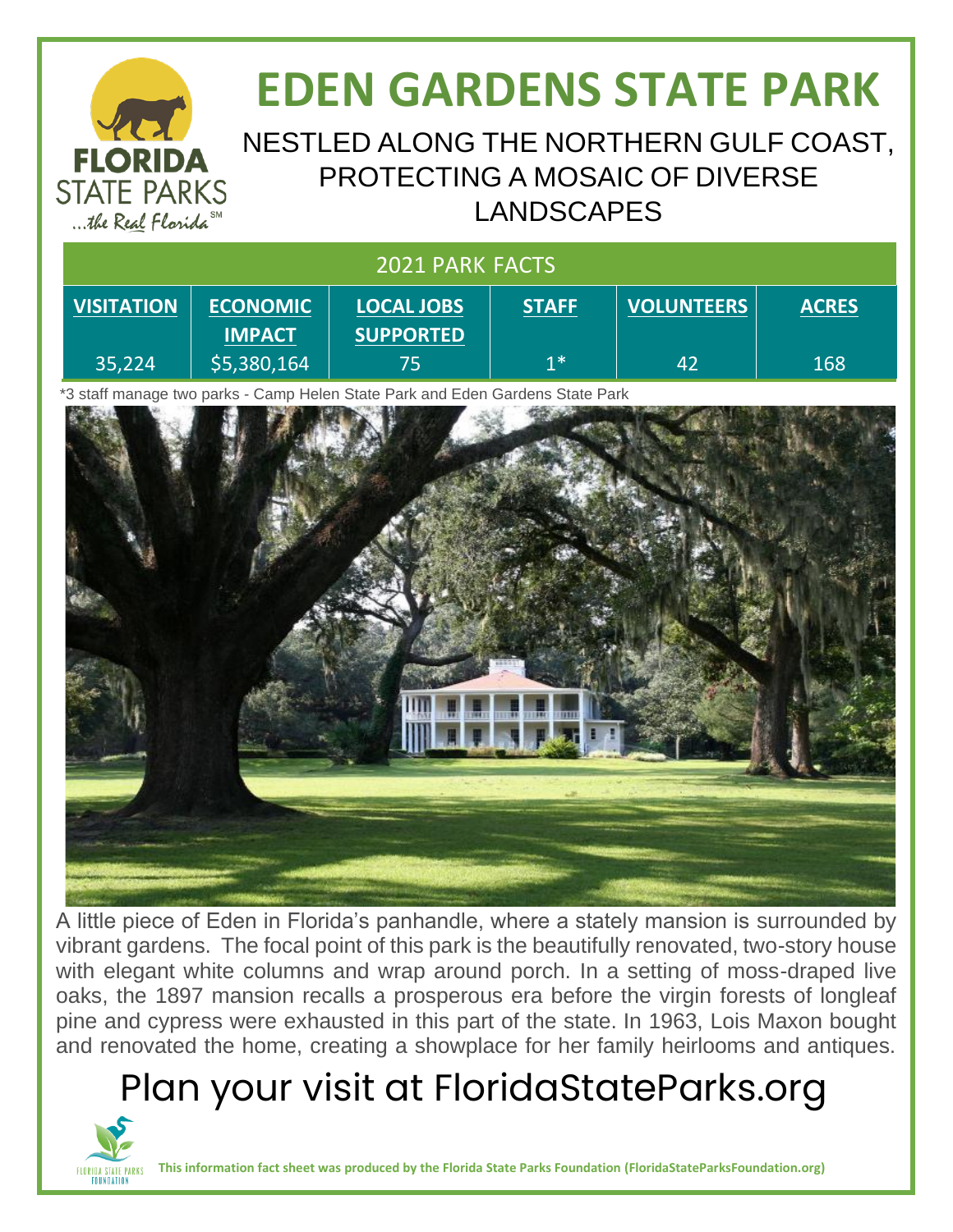### **EDEN GARDENS STATE PARK** NESTLED ALONG THE NORTHERN GULF COAST, **FLORIDA** PROTECTING A MOSAIC OF DIVERSE **STATE PARKS** LANDSCAPES ... the Real Florida<sup>SM</sup> 2021 PARK FACTS

| <b>VISITATION</b> | <b>ECONOMIC</b> | <b>LOCAL JOBS</b> | <b>STAFF</b> | <b>VOLUNTEERS</b> | <b>ACRES</b> |
|-------------------|-----------------|-------------------|--------------|-------------------|--------------|
|                   | <b>IMPACT</b>   | <b>SUPPORTED</b>  |              |                   |              |
| $ 35,224\rangle$  | \$5,380,164     | 75                | 1*           | 42                | 168          |

\*3 staff manage two parks - Camp Helen State Park and Eden Gardens State Park



A little piece of Eden in Florida's panhandle, where a stately mansion is surrounded by vibrant gardens. The focal point of this park is the beautifully renovated, two-story house with elegant white columns and wrap around porch. In a setting of moss-draped live oaks, the 1897 mansion recalls a prosperous era before the virgin forests of longleaf pine and cypress were exhausted in this part of the state. In 1963, Lois Maxon bought and renovated the home, creating a showplace for her family heirlooms and antiques.

# Plan your visit at FloridaStateParks.org



**This information fact sheet was produced by the Florida State Parks Foundation (FloridaStateParksFoundation.org)**